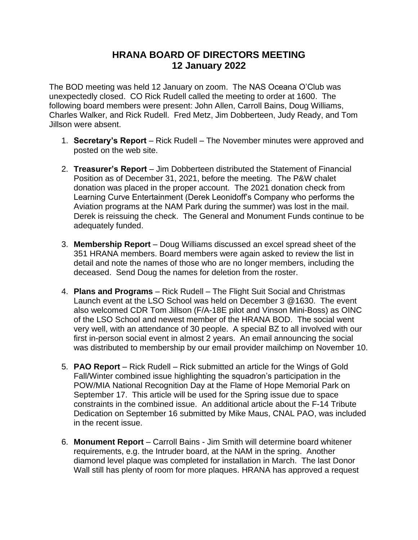## **HRANA BOARD OF DIRECTORS MEETING 12 January 2022**

The BOD meeting was held 12 January on zoom. The NAS Oceana O'Club was unexpectedly closed. CO Rick Rudell called the meeting to order at 1600. The following board members were present: John Allen, Carroll Bains, Doug Williams, Charles Walker, and Rick Rudell. Fred Metz, Jim Dobberteen, Judy Ready, and Tom Jillson were absent.

- 1. **Secretary's Report** Rick Rudell The November minutes were approved and posted on the web site.
- 2. **Treasurer's Report** Jim Dobberteen distributed the Statement of Financial Position as of December 31, 2021, before the meeting. The P&W chalet donation was placed in the proper account. The 2021 donation check from Learning Curve Entertainment (Derek Leonidoff's Company who performs the Aviation programs at the NAM Park during the summer) was lost in the mail. Derek is reissuing the check. The General and Monument Funds continue to be adequately funded.
- 3. **Membership Report** Doug Williams discussed an excel spread sheet of the 351 HRANA members. Board members were again asked to review the list in detail and note the names of those who are no longer members, including the deceased. Send Doug the names for deletion from the roster.
- 4. **Plans and Programs** Rick Rudell The Flight Suit Social and Christmas Launch event at the LSO School was held on December 3 @1630. The event also welcomed CDR Tom Jillson (F/A-18E pilot and Vinson Mini-Boss) as OINC of the LSO School and newest member of the HRANA BOD. The social went very well, with an attendance of 30 people. A special BZ to all involved with our first in-person social event in almost 2 years. An email announcing the social was distributed to membership by our email provider mailchimp on November 10.
- 5. **PAO Report** Rick Rudell Rick submitted an article for the Wings of Gold Fall/Winter combined issue highlighting the squadron's participation in the POW/MIA National Recognition Day at the Flame of Hope Memorial Park on September 17. This article will be used for the Spring issue due to space constraints in the combined issue. An additional article about the F-14 Tribute Dedication on September 16 submitted by Mike Maus, CNAL PAO, was included in the recent issue.
- 6. **Monument Report** Carroll Bains Jim Smith will determine board whitener requirements, e.g. the Intruder board, at the NAM in the spring. Another diamond level plaque was completed for installation in March. The last Donor Wall still has plenty of room for more plaques. HRANA has approved a request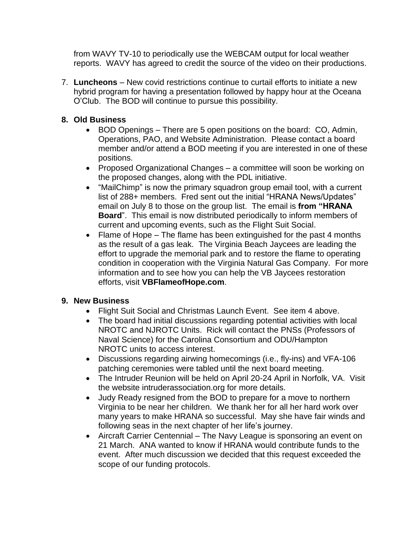from WAVY TV-10 to periodically use the WEBCAM output for local weather reports. WAVY has agreed to credit the source of the video on their productions.

7. **Luncheons** – New covid restrictions continue to curtail efforts to initiate a new hybrid program for having a presentation followed by happy hour at the Oceana O'Club. The BOD will continue to pursue this possibility.

## **8. Old Business**

- BOD Openings There are 5 open positions on the board: CO, Admin, Operations, PAO, and Website Administration. Please contact a board member and/or attend a BOD meeting if you are interested in one of these positions.
- Proposed Organizational Changes a committee will soon be working on the proposed changes, along with the PDL initiative.
- "MailChimp" is now the primary squadron group email tool, with a current list of 288+ members. Fred sent out the initial "HRANA News/Updates" email on July 8 to those on the group list. The email is **from "HRANA Board**". This email is now distributed periodically to inform members of current and upcoming events, such as the Flight Suit Social.
- Flame of Hope The flame has been extinguished for the past 4 months as the result of a gas leak. The Virginia Beach Jaycees are leading the effort to upgrade the memorial park and to restore the flame to operating condition in cooperation with the Virginia Natural Gas Company. For more information and to see how you can help the VB Jaycees restoration efforts, visit **VBFlameofHope.com**.

## **9. New Business**

- Flight Suit Social and Christmas Launch Event. See item 4 above.
- The board had initial discussions regarding potential activities with local NROTC and NJROTC Units. Rick will contact the PNSs (Professors of Naval Science) for the Carolina Consortium and ODU/Hampton NROTC units to access interest.
- Discussions regarding airwing homecomings (i.e., fly-ins) and VFA-106 patching ceremonies were tabled until the next board meeting.
- The Intruder Reunion will be held on April 20-24 April in Norfolk, VA. Visit the website intruderassociation.org for more details.
- Judy Ready resigned from the BOD to prepare for a move to northern Virginia to be near her children. We thank her for all her hard work over many years to make HRANA so successful. May she have fair winds and following seas in the next chapter of her life's journey.
- Aircraft Carrier Centennial The Navy League is sponsoring an event on 21 March. ANA wanted to know if HRANA would contribute funds to the event. After much discussion we decided that this request exceeded the scope of our funding protocols.